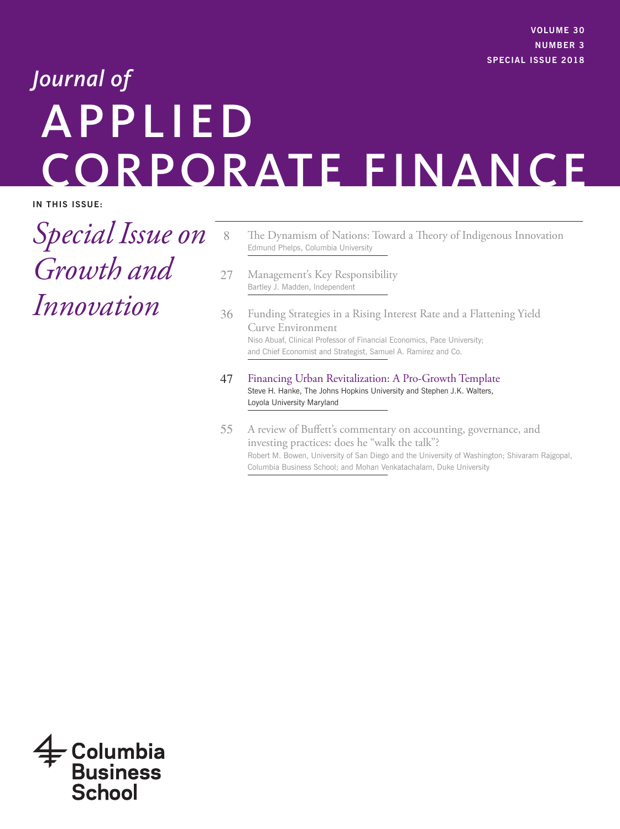# APPLIED CORPORATE FINANCE *Journal of*

**IN THIS ISSUE:** 

*Special Issue on Growth and Innovation*

- 8 The Dynamism of Nations: Toward a Theory of Indigenous Innovation Edmund Phelps, Columbia University
- 27 Management's Key Responsibility Bartley J. Madden, Independent
- 36 Funding Strategies in a Rising Interest Rate and a Flattening Yield Curve Environment Niso Abuaf, Clinical Professor of Financial Economics, Pace University; and Chief Economist and Strategist, Samuel A. Ramirez and Co.
- 47 Financing Urban Revitalization: A Pro-Growth Template Steve H. Hanke, The Johns Hopkins University and Stephen J.K. Walters, Loyola University Maryland
- 55 A review of Buffett's commentary on accounting, governance, and investing practices: does he "walk the talk"? Robert M. Bowen, University of San Diego and the University of Washington; Shivaram Rajgopal, Columbia Business School; and Mohan Venkatachalam, Duke University

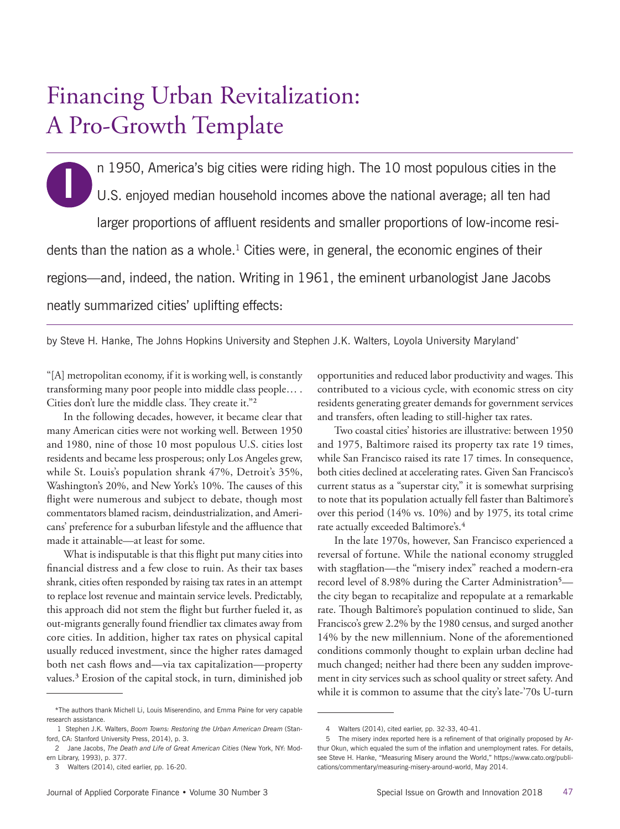# Financing Urban Revitalization: A Pro-Growth Template

**I** n 1950, America's big cities were riding high. The 10 most populous cities in the U.S. enjoyed median household incomes above the national average; all ten had larger proportions of affluent residents and smaller proportions of low-income residents than the nation as a whole.<sup>1</sup> Cities were, in general, the economic engines of their regions—and, indeed, the nation. Writing in 1961, the eminent urbanologist Jane Jacobs neatly summarized cities' uplifting effects:

by Steve H. Hanke, The Johns Hopkins University and Stephen J.K. Walters, Loyola University Maryland\*

"[A] metropolitan economy, if it is working well, is constantly transforming many poor people into middle class people… . Cities don't lure the middle class. They create it."2

In the following decades, however, it became clear that many American cities were not working well. Between 1950 and 1980, nine of those 10 most populous U.S. cities lost residents and became less prosperous; only Los Angeles grew, while St. Louis's population shrank 47%, Detroit's 35%, Washington's 20%, and New York's 10%. The causes of this flight were numerous and subject to debate, though most commentators blamed racism, deindustrialization, and Americans' preference for a suburban lifestyle and the affluence that made it attainable—at least for some.

What is indisputable is that this flight put many cities into financial distress and a few close to ruin. As their tax bases shrank, cities often responded by raising tax rates in an attempt to replace lost revenue and maintain service levels. Predictably, this approach did not stem the flight but further fueled it, as out-migrants generally found friendlier tax climates away from core cities. In addition, higher tax rates on physical capital usually reduced investment, since the higher rates damaged both net cash flows and—via tax capitalization—property values.3 Erosion of the capital stock, in turn, diminished job opportunities and reduced labor productivity and wages. This contributed to a vicious cycle, with economic stress on city residents generating greater demands for government services and transfers, often leading to still-higher tax rates.

Two coastal cities' histories are illustrative: between 1950 and 1975, Baltimore raised its property tax rate 19 times, while San Francisco raised its rate 17 times. In consequence, both cities declined at accelerating rates. Given San Francisco's current status as a "superstar city," it is somewhat surprising to note that its population actually fell faster than Baltimore's over this period (14% vs. 10%) and by 1975, its total crime rate actually exceeded Baltimore's.<sup>4</sup>

In the late 1970s, however, San Francisco experienced a reversal of fortune. While the national economy struggled with stagflation—the "misery index" reached a modern-era record level of 8.98% during the Carter Administration<sup>5</sup> the city began to recapitalize and repopulate at a remarkable rate. Though Baltimore's population continued to slide, San Francisco's grew 2.2% by the 1980 census, and surged another 14% by the new millennium. None of the aforementioned conditions commonly thought to explain urban decline had much changed; neither had there been any sudden improvement in city services such as school quality or street safety. And while it is common to assume that the city's late-'70s U-turn

<sup>\*</sup>The authors thank Michell Li, Louis Miserendino, and Emma Paine for very capable research assistance.

 <sup>1</sup> Stephen J.K. Walters, *Boom Towns: Restoring the Urban American Dream* (Stanford, CA: Stanford University Press, 2014), p. 3.

<sup>2</sup> Jane Jacobs, *The Death and Life of Great American Cities* (New York, NY: Modern Library, 1993), p. 377.

<sup>3</sup> Walters (2014), cited earlier, pp. 16-20.

<sup>4</sup> Walters (2014), cited earlier, pp. 32-33, 40-41.

<sup>5</sup>  The misery index reported here is a refinement of that originally proposed by Arthur Okun, which equaled the sum of the inflation and unemployment rates. For details, see Steve H. Hanke, "Measuring Misery around the World," https://www.cato.org/publications/commentary/measuring-misery-around-world, May 2014.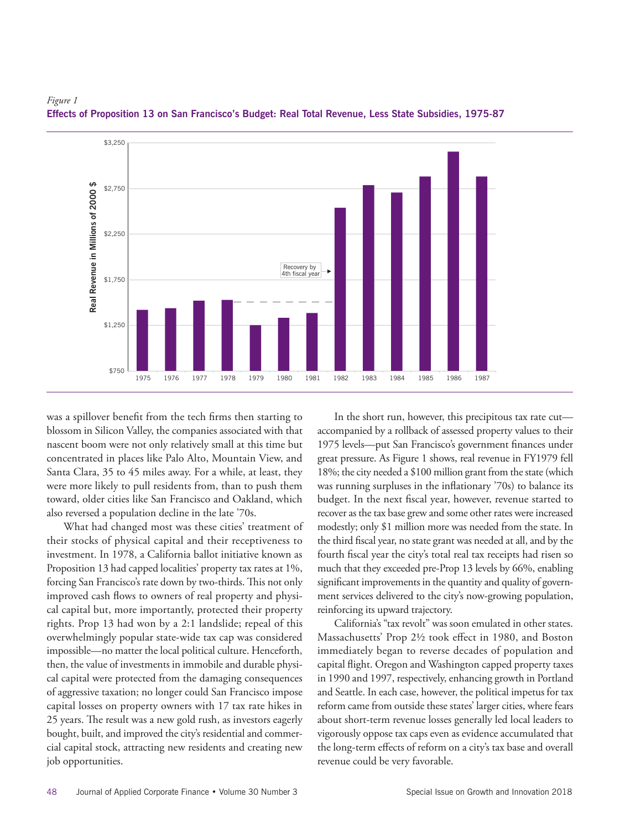

# *Figure 1* **Effects of Proposition 13 on San Francisco's Budget: Real Total Revenue, Less State Subsidies, 1975-87**

was a spillover benefit from the tech firms then starting to blossom in Silicon Valley, the companies associated with that nascent boom were not only relatively small at this time but concentrated in places like Palo Alto, Mountain View, and Santa Clara, 35 to 45 miles away. For a while, at least, they were more likely to pull residents from, than to push them toward, older cities like San Francisco and Oakland, which also reversed a population decline in the late '70s. **Revenue**<br>**Revenue**<br>Expending<br>the

What had changed most was these cities' treatment of their stocks of physical capital and their receptiveness to investment. In 1978, a California ballot initiative known as for Proposition 13 had capped localities' property tax rates at 1%, forcing San Francisco's rate down by two-thirds. This not only improved cash flows to owners of real property and physical capital but, more importantly, protected their property rights. Prop 13 had won by a 2:1 landslide; repeal of this overwhelmingly popular state-wide tax cap was considered impossible—no matter the local political culture. Henceforth, then, the value of investments in immobile and durable physical capital were protected from the damaging consequences of aggressive taxation; no longer could San Francisco impose capital losses on property owners with 17 tax rate hikes in 25 years. The result was a new gold rush, as investors eagerly bought, built, and improved the city's residential and commercial capital stock, attracting new residents and creating new job opportunities.

In the short run, however, this precipitous tax rate cut accompanied by a rollback of assessed property values to their 1975 levels—put San Francisco's government finances under great pressure. As Figure 1 shows, real revenue in FY1979 fell 18%; the city needed a \$100 million grant from the state (which was running surpluses in the inflationary '70s) to balance its budget. In the next fiscal year, however, revenue started to recover as the tax base grew and some other rates were increased modestly; only \$1 million more was needed from the state. In the third fiscal year, no state grant was needed at all, and by the fourth fiscal year the city's total real tax receipts had risen so d capped localities' property tax rates at 1%, much that they exceeded pre-Prop 13 levels by 66%, enabling thirds. This not only significant improvements in the quantity and quality of government services delivered to the city's now-growing population, reinforcing its upward trajectory.

> California's "tax revolt" was soon emulated in other states. Massachusetts' Prop 2½ took effect in 1980, and Boston immediately began to reverse decades of population and capital flight. Oregon and Washington capped property taxes in 1990 and 1997, respectively, enhancing growth in Portland and Seattle. In each case, however, the political impetus for tax reform came from outside these states' larger cities, where fears about short-term revenue losses generally led local leaders to vigorously oppose tax caps even as evidence accumulated that the long-term effects of reform on a city's tax base and overall revenue could be very favorable.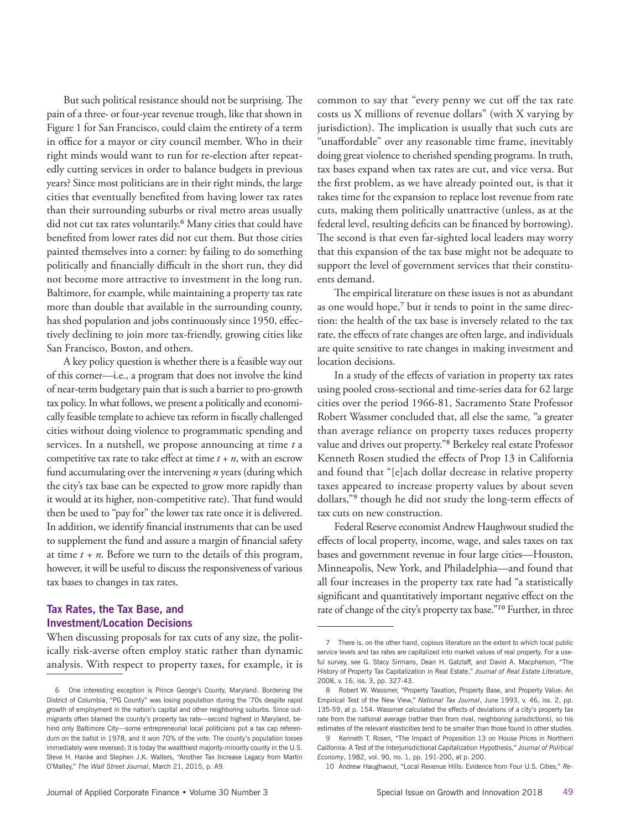But such political resistance should not be surprising. The pain of a three- or four-year revenue trough, like that shown in Figure 1 for San Francisco, could claim the entirety of a term in office for a mayor or city council member. Who in their right minds would want to run for re-election after repeatedly cutting services in order to balance budgets in previous years? Since most politicians are in their right minds, the large cities that eventually benefited from having lower tax rates than their surrounding suburbs or rival metro areas usually did not cut tax rates voluntarily.<sup>6</sup> Many cities that could have benefited from lower rates did not cut them. But those cities painted themselves into a corner: by failing to do something politically and financially difficult in the short run, they did not become more attractive to investment in the long run. Baltimore, for example, while maintaining a property tax rate more than double that available in the surrounding county, has shed population and jobs continuously since 1950, effectively declining to join more tax-friendly, growing cities like San Francisco, Boston, and others.

A key policy question is whether there is a feasible way out of this corner—i.e., a program that does not involve the kind of near-term budgetary pain that is such a barrier to pro-growth tax policy. In what follows, we present a politically and economically feasible template to achieve tax reform in fiscally challenged cities without doing violence to programmatic spending and services. In a nutshell, we propose announcing at time *t* a competitive tax rate to take effect at time  $t + n$ , with an escrow fund accumulating over the intervening *n* years (during which the city's tax base can be expected to grow more rapidly than it would at its higher, non-competitive rate). That fund would then be used to "pay for" the lower tax rate once it is delivered. In addition, we identify financial instruments that can be used to supplement the fund and assure a margin of financial safety at time  $t + n$ . Before we turn to the details of this program, however, it will be useful to discuss the responsiveness of various tax bases to changes in tax rates.

# **Tax Rates, the Tax Base, and Investment/Location Decisions**

When discussing proposals for tax cuts of any size, the politically risk-averse often employ static rather than dynamic analysis. With respect to property taxes, for example, it is

common to say that "every penny we cut off the tax rate costs us X millions of revenue dollars" (with X varying by jurisdiction). The implication is usually that such cuts are "unaffordable" over any reasonable time frame, inevitably doing great violence to cherished spending programs. In truth, tax bases expand when tax rates are cut, and vice versa. But the first problem, as we have already pointed out, is that it takes time for the expansion to replace lost revenue from rate cuts, making them politically unattractive (unless, as at the federal level, resulting deficits can be financed by borrowing). The second is that even far-sighted local leaders may worry that this expansion of the tax base might not be adequate to support the level of government services that their constituents demand.

The empirical literature on these issues is not as abundant as one would hope,<sup>7</sup> but it tends to point in the same direction: the health of the tax base is inversely related to the tax rate, the effects of rate changes are often large, and individuals are quite sensitive to rate changes in making investment and location decisions.

In a study of the effects of variation in property tax rates using pooled cross-sectional and time-series data for 62 large cities over the period 1966-81, Sacramento State Professor Robert Wassmer concluded that, all else the same, "a greater than average reliance on property taxes reduces property value and drives out property."8 Berkeley real estate Professor Kenneth Rosen studied the effects of Prop 13 in California and found that "[e]ach dollar decrease in relative property taxes appeared to increase property values by about seven dollars,"9 though he did not study the long-term effects of tax cuts on new construction.

Federal Reserve economist Andrew Haughwout studied the effects of local property, income, wage, and sales taxes on tax bases and government revenue in four large cities—Houston, Minneapolis, New York, and Philadelphia—and found that all four increases in the property tax rate had "a statistically significant and quantitatively important negative effect on the rate of change of the city's property tax base."<sup>10</sup> Further, in three

10 Andrew Haughwout, "Local Revenue Hills: Evidence from Four U.S. Cities," *Re-*

<sup>6</sup>  One interesting exception is Prince George's County, Maryland. Bordering the District of Columbia, "PG County" was losing population during the '70s despite rapid growth of employment in the nation's capital and other neighboring suburbs. Since outmigrants often blamed the county's property tax rate—second highest in Maryland, behind only Baltimore City—some entrepreneurial local politicians put a tax cap referendum on the ballot in 1978, and it won 70% of the vote. The county's population losses immediately were reversed; it is today the wealthiest majority-minority county in the U.S. Steve H. Hanke and Stephen J.K. Walters, "Another Tax Increase Legacy from Martin O'Malley," *The Wall Street Journal*, March 21, 2015, p. A9.

<sup>7</sup> There is, on the other hand, copious literature on the extent to which local public service levels and tax rates are capitalized into market values of real property. For a useful survey, see G. Stacy Sirmans, Dean H. Gatzlaff, and David A. Macpherson, "The History of Property Tax Capitalization in Real Estate," *Journal of Real Estate Literature*, 2008, v. 16, iss. 3, pp. 327-43.

<sup>8</sup> Robert W. Wassmer, "Property Taxation, Property Base, and Property Value: An Empirical Test of the New View," *National Tax Journal*, June 1993, v. 46, iss. 2, pp. 135-59, at p. 154. Wassmer calculated the effects of deviations of a city's property tax rate from the national average (rather than from rival, neighboring jurisdictions), so his estimates of the relevant elasticities tend to be smaller than those found in other studies.

<sup>9</sup> Kenneth T. Rosen, "The Impact of Proposition 13 on House Prices in Northern California: A Test of the Interjurisdictional Capitalization Hypothesis," *Journal of Political Economy*, 1982, vol. 90, no. 1, pp. 191-200, at p. 200.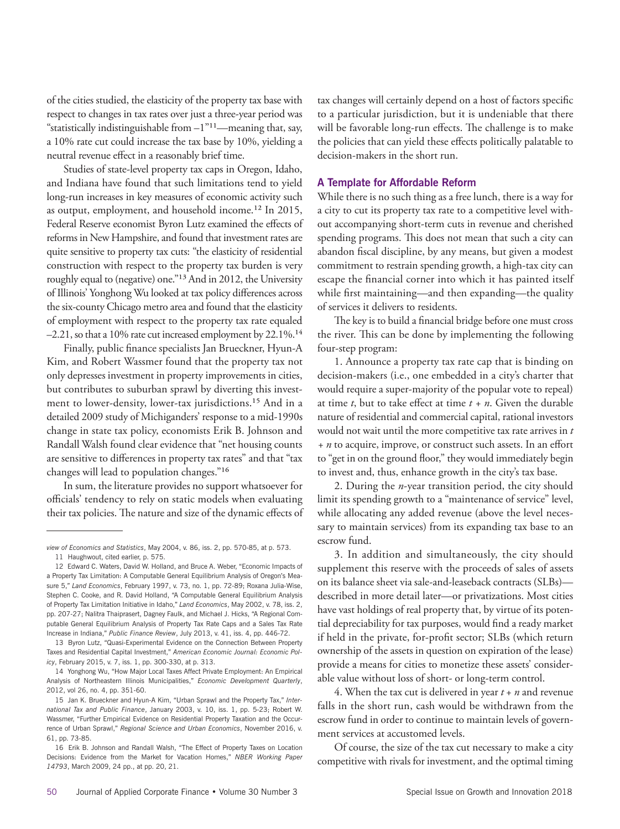of the cities studied, the elasticity of the property tax base with respect to changes in tax rates over just a three-year period was "statistically indistinguishable from  $-1$ "<sup>11</sup>—meaning that, say, a 10% rate cut could increase the tax base by 10%, yielding a neutral revenue effect in a reasonably brief time.

Studies of state-level property tax caps in Oregon, Idaho, and Indiana have found that such limitations tend to yield long-run increases in key measures of economic activity such as output, employment, and household income.12 In 2015, Federal Reserve economist Byron Lutz examined the effects of reforms in New Hampshire, and found that investment rates are quite sensitive to property tax cuts: "the elasticity of residential construction with respect to the property tax burden is very roughly equal to (negative) one."13 And in 2012, the University of Illinois' Yonghong Wu looked at tax policy differences across the six-county Chicago metro area and found that the elasticity of employment with respect to the property tax rate equaled –2.21, so that a 10% rate cut increased employment by 22.1%.14

Finally, public finance specialists Jan Brueckner, Hyun-A Kim, and Robert Wassmer found that the property tax not only depresses investment in property improvements in cities, but contributes to suburban sprawl by diverting this investment to lower-density, lower-tax jurisdictions.15 And in a detailed 2009 study of Michiganders' response to a mid-1990s change in state tax policy, economists Erik B. Johnson and Randall Walsh found clear evidence that "net housing counts are sensitive to differences in property tax rates" and that "tax changes will lead to population changes."16

In sum, the literature provides no support whatsoever for officials' tendency to rely on static models when evaluating their tax policies. The nature and size of the dynamic effects of

14 Yonghong Wu, "How Major Local Taxes Affect Private Employment: An Empirical Analysis of Northeastern Illinois Municipalities," *Economic Development Quarterly*, 2012, vol 26, no. 4, pp. 351-60.

tax changes will certainly depend on a host of factors specific to a particular jurisdiction, but it is undeniable that there will be favorable long-run effects. The challenge is to make the policies that can yield these effects politically palatable to decision-makers in the short run.

### **A Template for Affordable Reform**

While there is no such thing as a free lunch, there is a way for a city to cut its property tax rate to a competitive level without accompanying short-term cuts in revenue and cherished spending programs. This does not mean that such a city can abandon fiscal discipline, by any means, but given a modest commitment to restrain spending growth, a high-tax city can escape the financial corner into which it has painted itself while first maintaining—and then expanding—the quality of services it delivers to residents.

The key is to build a financial bridge before one must cross the river. This can be done by implementing the following four-step program:

1. Announce a property tax rate cap that is binding on decision-makers (i.e., one embedded in a city's charter that would require a super-majority of the popular vote to repeal) at time *t*, but to take effect at time *t + n*. Given the durable nature of residential and commercial capital, rational investors would not wait until the more competitive tax rate arrives in *t + n* to acquire, improve, or construct such assets. In an effort to "get in on the ground floor," they would immediately begin to invest and, thus, enhance growth in the city's tax base.

2. During the *n*-year transition period, the city should limit its spending growth to a "maintenance of service" level, while allocating any added revenue (above the level necessary to maintain services) from its expanding tax base to an escrow fund.

3. In addition and simultaneously, the city should supplement this reserve with the proceeds of sales of assets on its balance sheet via sale-and-leaseback contracts (SLBs) described in more detail later—or privatizations. Most cities have vast holdings of real property that, by virtue of its potential depreciability for tax purposes, would find a ready market if held in the private, for-profit sector; SLBs (which return ownership of the assets in question on expiration of the lease) provide a means for cities to monetize these assets' considerable value without loss of short- or long-term control.

4. When the tax cut is delivered in year *t* + *n* and revenue falls in the short run, cash would be withdrawn from the escrow fund in order to continue to maintain levels of government services at accustomed levels.

Of course, the size of the tax cut necessary to make a city competitive with rivals for investment, and the optimal timing

*view of Economics and Statistics*, May 2004, v. 86, iss. 2, pp. 570-85, at p. 573.

<sup>11</sup> Haughwout, cited earlier, p. 575.

<sup>12</sup> Edward C. Waters, David W. Holland, and Bruce A. Weber, "Economic Impacts of a Property Tax Limitation: A Computable General Equilibrium Analysis of Oregon's Measure 5," *Land Economics*, February 1997, v. 73, no. 1, pp. 72-89; Roxana Julia-Wise, Stephen C. Cooke, and R. David Holland, "A Computable General Equilibrium Analysis of Property Tax Limitation Initiative in Idaho," *Land Economics*, May 2002, v. 78, iss. 2, pp. 207-27; Nalitra Thaiprasert, Dagney Faulk, and Michael J. Hicks, "A Regional Computable General Equilibrium Analysis of Property Tax Rate Caps and a Sales Tax Rate Increase in Indiana," *Public Finance Review*, July 2013, v. 41, iss. 4, pp. 446-72.

<sup>13</sup> Byron Lutz, "Quasi-Experimental Evidence on the Connection Between Property Taxes and Residential Capital Investment," *American Economic Journal: Economic Policy*, February 2015, v. 7, iss. 1, pp. 300-330, at p. 313.

<sup>15</sup> Jan K. Brueckner and Hyun-A Kim, "Urban Sprawl and the Property Tax," *International Tax and Public Finance*, January 2003, v. 10, iss. 1, pp. 5-23; Robert W. Wassmer, "Further Empirical Evidence on Residential Property Taxation and the Occurrence of Urban Sprawl," *Regional Science and Urban Economics*, November 2016, v. 61, pp. 73-85.

<sup>16</sup> Erik B. Johnson and Randall Walsh, "The Effect of Property Taxes on Location Decisions: Evidence from the Market for Vacation Homes," *NBER Working Paper 14793*, March 2009, 24 pp., at pp. 20, 21.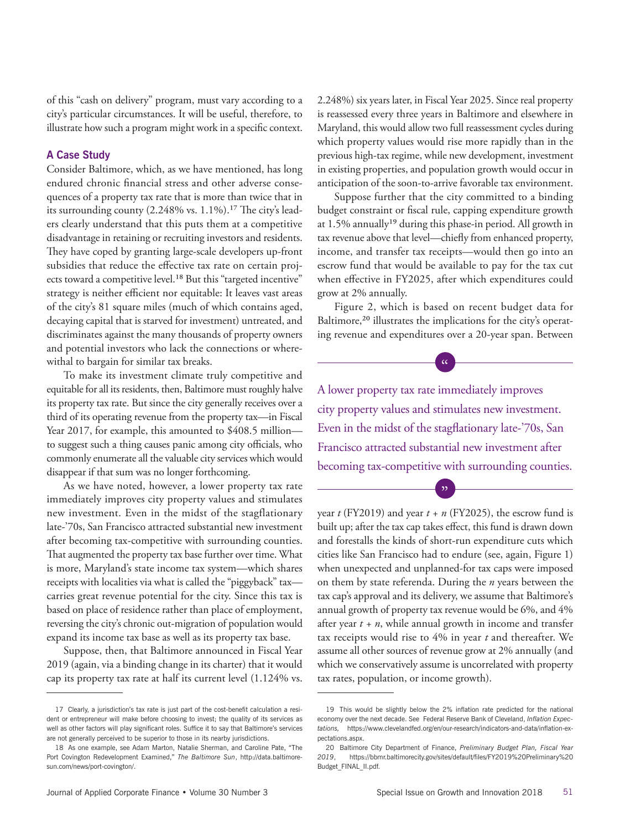of this "cash on delivery" program, must vary according to a city's particular circumstances. It will be useful, therefore, to illustrate how such a program might work in a specific context.

# **A Case Study**

Consider Baltimore, which, as we have mentioned, has long endured chronic financial stress and other adverse consequences of a property tax rate that is more than twice that in its surrounding county (2.248% vs. 1.1%).<sup>17</sup> The city's leaders clearly understand that this puts them at a competitive disadvantage in retaining or recruiting investors and residents. They have coped by granting large-scale developers up-front subsidies that reduce the effective tax rate on certain projects toward a competitive level.<sup>18</sup> But this "targeted incentive" strategy is neither efficient nor equitable: It leaves vast areas of the city's 81 square miles (much of which contains aged, decaying capital that is starved for investment) untreated, and discriminates against the many thousands of property owners and potential investors who lack the connections or wherewithal to bargain for similar tax breaks.

To make its investment climate truly competitive and equitable for all its residents, then, Baltimore must roughly halve its property tax rate. But since the city generally receives over a third of its operating revenue from the property tax—in Fiscal Year 2017, for example, this amounted to \$408.5 million to suggest such a thing causes panic among city officials, who commonly enumerate all the valuable city services which would disappear if that sum was no longer forthcoming.

As we have noted, however, a lower property tax rate immediately improves city property values and stimulates new investment. Even in the midst of the stagflationary late-'70s, San Francisco attracted substantial new investment after becoming tax-competitive with surrounding counties. That augmented the property tax base further over time. What is more, Maryland's state income tax system—which shares receipts with localities via what is called the "piggyback" tax carries great revenue potential for the city. Since this tax is based on place of residence rather than place of employment, reversing the city's chronic out-migration of population would expand its income tax base as well as its property tax base.

Suppose, then, that Baltimore announced in Fiscal Year 2019 (again, via a binding change in its charter) that it would cap its property tax rate at half its current level (1.124% vs. 2.248%) six years later, in Fiscal Year 2025. Since real property is reassessed every three years in Baltimore and elsewhere in Maryland, this would allow two full reassessment cycles during which property values would rise more rapidly than in the previous high-tax regime, while new development, investment in existing properties, and population growth would occur in anticipation of the soon-to-arrive favorable tax environment.

Suppose further that the city committed to a binding budget constraint or fiscal rule, capping expenditure growth at 1.5% annually<sup>19</sup> during this phase-in period. All growth in tax revenue above that level—chiefly from enhanced property, income, and transfer tax receipts—would then go into an escrow fund that would be available to pay for the tax cut when effective in FY2025, after which expenditures could grow at 2% annually.

Figure 2, which is based on recent budget data for Baltimore,<sup>20</sup> illustrates the implications for the city's operating revenue and expenditures over a 20-year span. Between

 $\frac{1}{\sqrt{2}}$ 

A lower property tax rate immediately improves city property values and stimulates new investment. Even in the midst of the stagflationary late-'70s, San Francisco attracted substantial new investment after becoming tax-competitive with surrounding counties.

"

year  $t$  (FY2019) and year  $t + n$  (FY2025), the escrow fund is built up; after the tax cap takes effect, this fund is drawn down and forestalls the kinds of short-run expenditure cuts which cities like San Francisco had to endure (see, again, Figure 1) when unexpected and unplanned-for tax caps were imposed on them by state referenda. During the *n* years between the tax cap's approval and its delivery, we assume that Baltimore's annual growth of property tax revenue would be 6%, and 4% after year *t + n*, while annual growth in income and transfer tax receipts would rise to 4% in year *t* and thereafter. We assume all other sources of revenue grow at 2% annually (and which we conservatively assume is uncorrelated with property tax rates, population, or income growth).

<sup>17</sup> Clearly, a jurisdiction's tax rate is just part of the cost-benefit calculation a resident or entrepreneur will make before choosing to invest; the quality of its services as well as other factors will play significant roles. Suffice it to say that Baltimore's services are not generally perceived to be superior to those in its nearby jurisdictions.

<sup>18</sup> As one example, see Adam Marton, Natalie Sherman, and Caroline Pate, "The Port Covington Redevelopment Examined," *The Baltimore Sun*, http://data.baltimoresun.com/news/port-covington/.

<sup>19</sup> This would be slightly below the 2% inflation rate predicted for the national economy over the next decade. See Federal Reserve Bank of Cleveland, *Inflation Expectations,* https://www.clevelandfed.org/en/our-research/indicators-and-data/inflation-expectations.aspx.

<sup>20</sup> Baltimore City Department of Finance, *Preliminary Budget Plan, Fiscal Year 2019*, https://bbmr.baltimorecity.gov/sites/default/files/FY2019%20Preliminary%20 Budget\_FINAL\_II.pdf.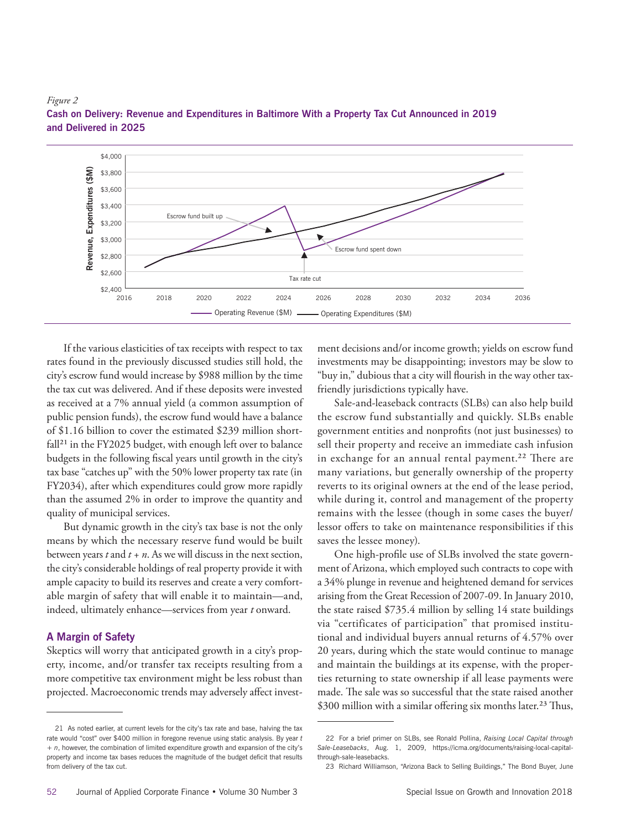



If the various elasticities of tax receipts with respect to tax rates found in the previously discussed studies still hold, the city's escrow fund would increase by \$988 million by the time the tax cut was delivered. And if these deposits were invested as received at a 7% annual yield (a common assumption of public pension funds), the escrow fund would have a balance of \$1.16 billion to cover the estimated \$239 million shortfall<sup>21</sup> in the FY2025 budget, with enough left over to balance budgets in the following fiscal years until growth in the city's tax base "catches up" with the 50% lower property tax rate (in FY2034), after which expenditures could grow more rapidly than the assumed 2% in order to improve the quantity and quality of municipal services.

But dynamic growth in the city's tax base is not the only means by which the necessary reserve fund would be built between years *t* and *t + n*. As we will discuss in the next section, the city's considerable holdings of real property provide it with ample capacity to build its reserves and create a very comfortable margin of safety that will enable it to maintain—and, indeed, ultimately enhance—services from year *t* onward.

# **A Margin of Safety**

Skeptics will worry that anticipated growth in a city's property, income, and/or transfer tax receipts resulting from a more competitive tax environment might be less robust than projected. Macroeconomic trends may adversely affect investment decisions and/or income growth; yields on escrow fund investments may be disappointing; investors may be slow to "buy in," dubious that a city will flourish in the way other taxfriendly jurisdictions typically have.

Sale-and-leaseback contracts (SLBs) can also help build the escrow fund substantially and quickly. SLBs enable government entities and nonprofits (not just businesses) to sell their property and receive an immediate cash infusion in exchange for an annual rental payment.<sup>22</sup> There are many variations, but generally ownership of the property reverts to its original owners at the end of the lease period, while during it, control and management of the property remains with the lessee (though in some cases the buyer/ lessor offers to take on maintenance responsibilities if this saves the lessee money).

One high-profile use of SLBs involved the state government of Arizona, which employed such contracts to cope with a 34% plunge in revenue and heightened demand for services arising from the Great Recession of 2007-09. In January 2010, the state raised \$735.4 million by selling 14 state buildings via "certificates of participation" that promised institutional and individual buyers annual returns of 4.57% over 20 years, during which the state would continue to manage and maintain the buildings at its expense, with the properties returning to state ownership if all lease payments were made. The sale was so successful that the state raised another \$300 million with a similar offering six months later.<sup>23</sup> Thus,

<sup>21</sup> As noted earlier, at current levels for the city's tax rate and base, halving the tax rate would "cost" over \$400 million in foregone revenue using static analysis. By year *t + n*, however, the combination of limited expenditure growth and expansion of the city's property and income tax bases reduces the magnitude of the budget deficit that results from delivery of the tax cut.

<sup>22</sup> For a brief primer on SLBs, see Ronald Pollina, *Raising Local Capital through Sale-Leasebacks*, Aug. 1, 2009, https://icma.org/documents/raising-local-capitalthrough-sale-leasebacks.

<sup>23</sup> Richard Williamson, "Arizona Back to Selling Buildings," The Bond Buyer, June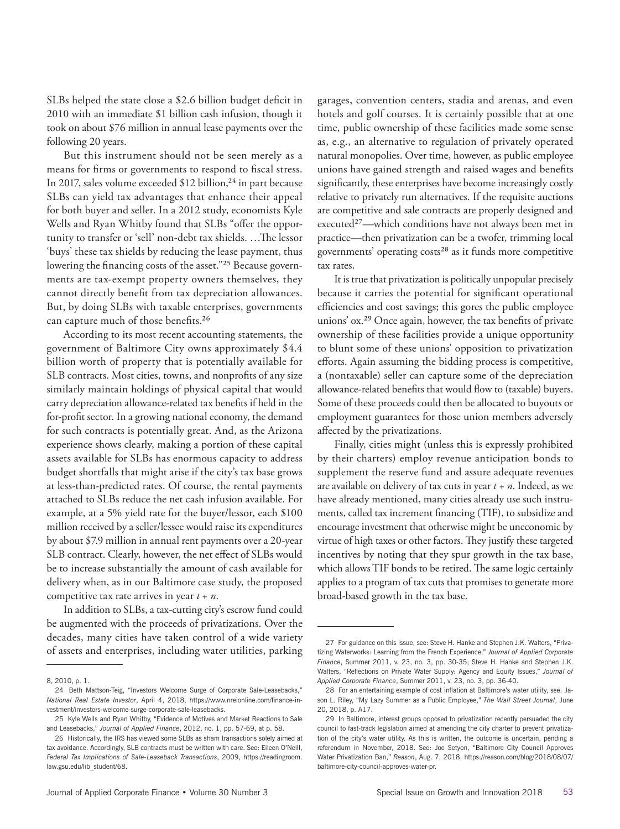SLBs helped the state close a \$2.6 billion budget deficit in 2010 with an immediate \$1 billion cash infusion, though it took on about \$76 million in annual lease payments over the following 20 years.

But this instrument should not be seen merely as a means for firms or governments to respond to fiscal stress. In 2017, sales volume exceeded  $$12$  billion,<sup>24</sup> in part because SLBs can yield tax advantages that enhance their appeal for both buyer and seller. In a 2012 study, economists Kyle Wells and Ryan Whitby found that SLBs "offer the opportunity to transfer or 'sell' non-debt tax shields. …The lessor 'buys' these tax shields by reducing the lease payment, thus lowering the financing costs of the asset."25 Because governments are tax-exempt property owners themselves, they cannot directly benefit from tax depreciation allowances. But, by doing SLBs with taxable enterprises, governments can capture much of those benefits.26

According to its most recent accounting statements, the government of Baltimore City owns approximately \$4.4 billion worth of property that is potentially available for SLB contracts. Most cities, towns, and nonprofits of any size similarly maintain holdings of physical capital that would carry depreciation allowance-related tax benefits if held in the for-profit sector. In a growing national economy, the demand for such contracts is potentially great. And, as the Arizona experience shows clearly, making a portion of these capital assets available for SLBs has enormous capacity to address budget shortfalls that might arise if the city's tax base grows at less-than-predicted rates. Of course, the rental payments attached to SLBs reduce the net cash infusion available. For example, at a 5% yield rate for the buyer/lessor, each \$100 million received by a seller/lessee would raise its expenditures by about \$7.9 million in annual rent payments over a 20-year SLB contract. Clearly, however, the net effect of SLBs would be to increase substantially the amount of cash available for delivery when, as in our Baltimore case study, the proposed competitive tax rate arrives in year *t* + *n*.

In addition to SLBs, a tax-cutting city's escrow fund could be augmented with the proceeds of privatizations. Over the decades, many cities have taken control of a wide variety of assets and enterprises, including water utilities, parking

garages, convention centers, stadia and arenas, and even hotels and golf courses. It is certainly possible that at one time, public ownership of these facilities made some sense as, e.g., an alternative to regulation of privately operated natural monopolies. Over time, however, as public employee unions have gained strength and raised wages and benefits significantly, these enterprises have become increasingly costly relative to privately run alternatives. If the requisite auctions are competitive and sale contracts are properly designed and executed<sup>27</sup>—which conditions have not always been met in practice—then privatization can be a twofer, trimming local governments' operating costs<sup>28</sup> as it funds more competitive tax rates.

It is true that privatization is politically unpopular precisely because it carries the potential for significant operational efficiencies and cost savings; this gores the public employee unions' ox.29 Once again, however, the tax benefits of private ownership of these facilities provide a unique opportunity to blunt some of these unions' opposition to privatization efforts. Again assuming the bidding process is competitive, a (nontaxable) seller can capture some of the depreciation allowance-related benefits that would flow to (taxable) buyers. Some of these proceeds could then be allocated to buyouts or employment guarantees for those union members adversely affected by the privatizations.

Finally, cities might (unless this is expressly prohibited by their charters) employ revenue anticipation bonds to supplement the reserve fund and assure adequate revenues are available on delivery of tax cuts in year *t + n*. Indeed, as we have already mentioned, many cities already use such instruments, called tax increment financing (TIF), to subsidize and encourage investment that otherwise might be uneconomic by virtue of high taxes or other factors. They justify these targeted incentives by noting that they spur growth in the tax base, which allows TIF bonds to be retired. The same logic certainly applies to a program of tax cuts that promises to generate more broad-based growth in the tax base.

<sup>8, 2010,</sup> p. 1.

<sup>24</sup> Beth Mattson-Teig, "Investors Welcome Surge of Corporate Sale-Leasebacks," *National Real Estate Investor*, April 4, 2018, https://www.nreionline.com/finance-investment/investors-welcome-surge-corporate-sale-leasebacks.

<sup>25</sup> Kyle Wells and Ryan Whitby, "Evidence of Motives and Market Reactions to Sale and Leasebacks," *Journal of Applied Finance*, 2012, no. 1, pp. 57-69, at p. 58.

<sup>26</sup> Historically, the IRS has viewed some SLBs as sham transactions solely aimed at tax avoidance. Accordingly, SLB contracts must be written with care. See: Eileen O'Neill, *Federal Tax Implications of Sale-Leaseback Transactions*, 2009, https://readingroom. law.gsu.edu/lib\_student/68.

<sup>27</sup> For guidance on this issue, see: Steve H. Hanke and Stephen J.K. Walters, "Privatizing Waterworks: Learning from the French Experience," *Journal of Applied Corporate Finance*, Summer 2011, v. 23, no. 3, pp. 30-35; Steve H. Hanke and Stephen J.K. Walters, "Reflections on Private Water Supply: Agency and Equity Issues," *Journal of Applied Corporate Finance*, Summer 2011, v. 23, no. 3, pp. 36-40.

<sup>28</sup> For an entertaining example of cost inflation at Baltimore's water utility, see: Jason L. Riley, "My Lazy Summer as a Public Employee," *The Wall Street Journal*, June 20, 2018, p. A17.

<sup>29</sup> In Baltimore, interest groups opposed to privatization recently persuaded the city council to fast-track legislation aimed at amending the city charter to prevent privatization of the city's water utility. As this is written, the outcome is uncertain, pending a referendum in November, 2018. See: Joe Setyon, "Baltimore City Council Approves Water Privatization Ban," *Reason*, Aug. 7, 2018, https://reason.com/blog/2018/08/07/ baltimore-city-council-approves-water-pr.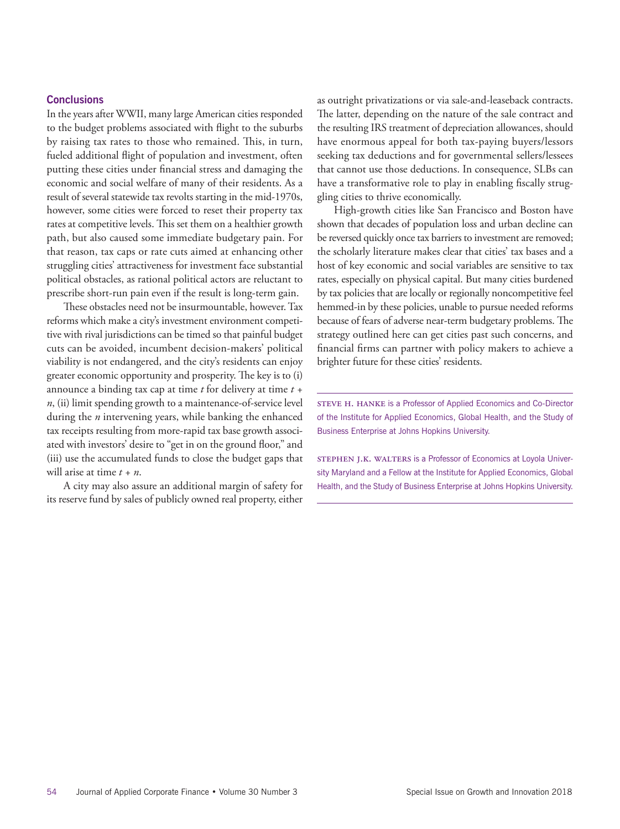#### **Conclusions**

In the years after WWII, many large American cities responded to the budget problems associated with flight to the suburbs by raising tax rates to those who remained. This, in turn, fueled additional flight of population and investment, often putting these cities under financial stress and damaging the economic and social welfare of many of their residents. As a result of several statewide tax revolts starting in the mid-1970s, however, some cities were forced to reset their property tax rates at competitive levels. This set them on a healthier growth path, but also caused some immediate budgetary pain. For that reason, tax caps or rate cuts aimed at enhancing other struggling cities' attractiveness for investment face substantial political obstacles, as rational political actors are reluctant to prescribe short-run pain even if the result is long-term gain.

These obstacles need not be insurmountable, however. Tax reforms which make a city's investment environment competitive with rival jurisdictions can be timed so that painful budget cuts can be avoided, incumbent decision-makers' political viability is not endangered, and the city's residents can enjoy greater economic opportunity and prosperity. The key is to (i) announce a binding tax cap at time *t* for delivery at time *t + n*, (ii) limit spending growth to a maintenance-of-service level during the *n* intervening years, while banking the enhanced tax receipts resulting from more-rapid tax base growth associated with investors' desire to "get in on the ground floor," and (iii) use the accumulated funds to close the budget gaps that will arise at time *t + n*.

A city may also assure an additional margin of safety for its reserve fund by sales of publicly owned real property, either as outright privatizations or via sale-and-leaseback contracts. The latter, depending on the nature of the sale contract and the resulting IRS treatment of depreciation allowances, should have enormous appeal for both tax-paying buyers/lessors seeking tax deductions and for governmental sellers/lessees that cannot use those deductions. In consequence, SLBs can have a transformative role to play in enabling fiscally struggling cities to thrive economically.

High-growth cities like San Francisco and Boston have shown that decades of population loss and urban decline can be reversed quickly once tax barriers to investment are removed; the scholarly literature makes clear that cities' tax bases and a host of key economic and social variables are sensitive to tax rates, especially on physical capital. But many cities burdened by tax policies that are locally or regionally noncompetitive feel hemmed-in by these policies, unable to pursue needed reforms because of fears of adverse near-term budgetary problems. The strategy outlined here can get cities past such concerns, and financial firms can partner with policy makers to achieve a brighter future for these cities' residents.

STEVE H. HANKE is a Professor of Applied Economics and Co-Director of the Institute for Applied Economics, Global Health, and the Study of Business Enterprise at Johns Hopkins University.

STEPHEN J.K. WALTERS is a Professor of Economics at Loyola University Maryland and a Fellow at the Institute for Applied Economics, Global Health, and the Study of Business Enterprise at Johns Hopkins University.